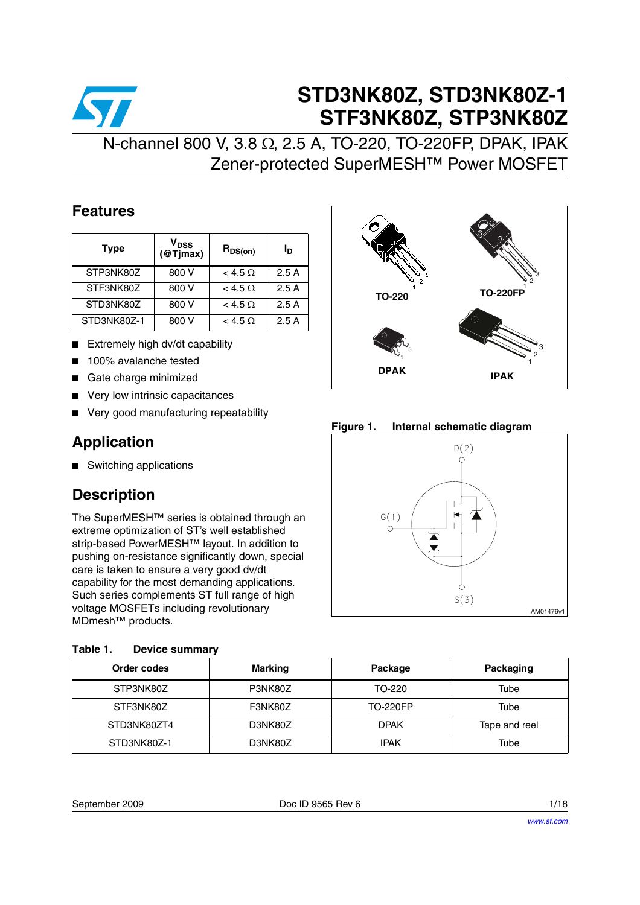

# **STD3NK80Z, STD3NK80Z-1 STF3NK80Z, STP3NK80Z**

## N-channel 800 V, 3.8 Ω, 2.5 A, TO-220, TO-220FP, DPAK, IPAK Zener-protected SuperMESH™ Power MOSFET

### **Features**

| <b>Type</b> | V <sub>DSS</sub><br>@Tjmax | $R_{DS(on)}$     | סי   |
|-------------|----------------------------|------------------|------|
| STP3NK80Z   | 800 V                      | $<$ 4.5 $\Omega$ | 2.5A |
| STF3NK80Z   | 800 V                      | $<$ 4.5 $\Omega$ | 2.5A |
| STD3NK80Z   | 800 V                      | $<$ 4.5 $\Omega$ | 2.5A |
| STD3NK80Z-1 | 800 V                      | $<$ 4.5 $\Omega$ | 2.5A |

- Extremely high dv/dt capability
- 100% avalanche tested
- Gate charge minimized
- Very low intrinsic capacitances
- Very good manufacturing repeatability

### **Application**

■ Switching applications

## **Description**

The SuperMESH™ series is obtained through an extreme optimization of ST's well established strip-based PowerMESH™ layout. In addition to pushing on-resistance significantly down, special care is taken to ensure a very good dv/dt capability for the most demanding applications. Such series complements ST full range of high voltage MOSFETs including revolutionary MDmesh™ products.

| Table 1. | <b>Device summary</b> |
|----------|-----------------------|
|          |                       |



**Figure 1. Internal schematic diagram**



| Order codes | <b>Marking</b> | Package         | Packaging     |
|-------------|----------------|-----------------|---------------|
| STP3NK80Z   | P3NK80Z        | TO-220          | Tube          |
| STF3NK80Z   | F3NK80Z        | <b>TO-220FP</b> | Tube          |
| STD3NK80ZT4 | D3NK80Z        | <b>DPAK</b>     | Tape and reel |
| STD3NK80Z-1 | D3NK80Z        | <b>IPAK</b>     | Tube          |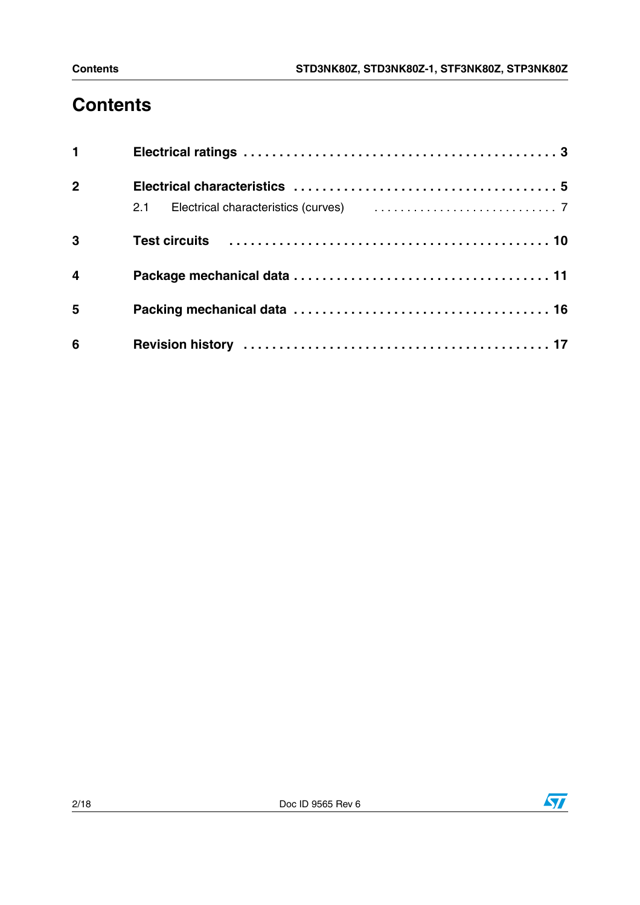# **Contents**

| 1                       |                                                                                   |
|-------------------------|-----------------------------------------------------------------------------------|
| $\overline{2}$          |                                                                                   |
|                         | 2.1 Electrical characteristics (curves) [1, 1, 1, 1, 1, 1, 1, 1, 1, 1, 1, 1, 1, 7 |
| $\mathbf{3}$            |                                                                                   |
| $\overline{\mathbf{4}}$ |                                                                                   |
| $5\phantom{1}$          |                                                                                   |
| 6                       |                                                                                   |

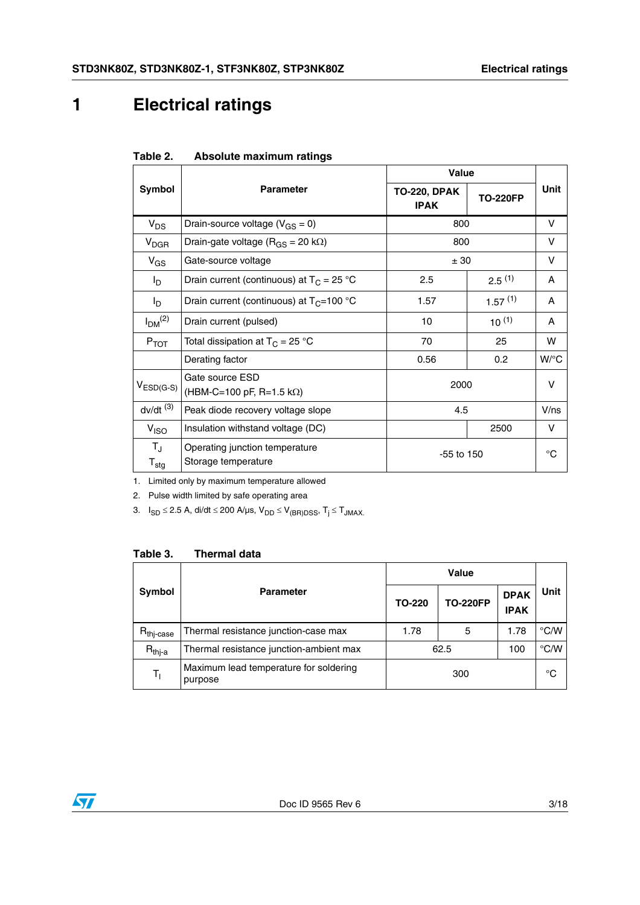## <span id="page-2-0"></span>**1 Electrical ratings**

| Table 2. | Absolute maximum ratings |  |
|----------|--------------------------|--|
|          |                          |  |

|                                            |                                                       | <b>Value</b>                       |                 |             |
|--------------------------------------------|-------------------------------------------------------|------------------------------------|-----------------|-------------|
| Symbol                                     | <b>Parameter</b>                                      | <b>TO-220, DPAK</b><br><b>IPAK</b> | <b>TO-220FP</b> | Unit        |
| $V_{DS}$                                   | Drain-source voltage ( $V_{GS} = 0$ )                 | 800                                |                 | V           |
| $V_{DGR}$                                  | Drain-gate voltage ( $R_{GS}$ = 20 k $\Omega$ )       | 800                                | V               |             |
| $V_{GS}$                                   | Gate-source voltage                                   | ± 30                               | V               |             |
| l <sub>D</sub>                             | Drain current (continuous) at $T_c = 25$ °C           | $2.5^{(1)}$<br>2.5                 |                 | A           |
| $I_{\text{D}}$                             | Drain current (continuous) at $T_C = 100 °C$          | 1.57                               | 1.57(1)         | A           |
| I <sub>DM</sub> <sup>(2)</sup>             | Drain current (pulsed)                                | 10                                 | $10^{(1)}$      | A           |
| $P_{TOT}$                                  | Total dissipation at $T_C = 25 °C$                    | 70                                 | 25              | w           |
|                                            | Derating factor                                       | 0.56                               | 0.2             | W/°C        |
| $V_{ESD(G-S)}$                             | Gate source ESD<br>$(HBM-C=100 pF, R=1.5 k\Omega)$    | 2000                               |                 | V           |
| $dv/dt$ <sup>(3)</sup>                     | Peak diode recovery voltage slope                     | 4.5                                |                 | V/ns        |
| V <sub>ISO</sub>                           | Insulation withstand voltage (DC)                     | 2500                               |                 | v           |
| $T_{\rm J}$<br>$\mathsf{T}_{\textsf{stg}}$ | Operating junction temperature<br>Storage temperature | $-55$ to 150                       |                 | $^{\circ}C$ |

1. Limited only by maximum temperature allowed

2. Pulse width limited by safe operating area

3.  $I_{SD}$  ≤ 2.5 A, di/dt ≤ 200 A/µs,  $V_{DD}$  ≤  $V_{(BR)DSS}$ ,  $T_j$  ≤  $T_{JMAX}$ .

### **Table 3. Thermal data**

|                       |                                                   |           | Value           |                            |               |
|-----------------------|---------------------------------------------------|-----------|-----------------|----------------------------|---------------|
| Symbol                | <b>Parameter</b>                                  | TO-220    | <b>TO-220FP</b> | <b>DPAK</b><br><b>IPAK</b> | Unit          |
| $R_{\text{thi-case}}$ | Thermal resistance junction-case max              | 1.78<br>5 |                 | 1.78                       | $\degree$ C/W |
| $R_{thi-a}$           | Thermal resistance junction-ambient max           | 62.5      |                 | 100                        | $\degree$ C/W |
| T,                    | Maximum lead temperature for soldering<br>purpose | 300       |                 |                            | $^{\circ}C$   |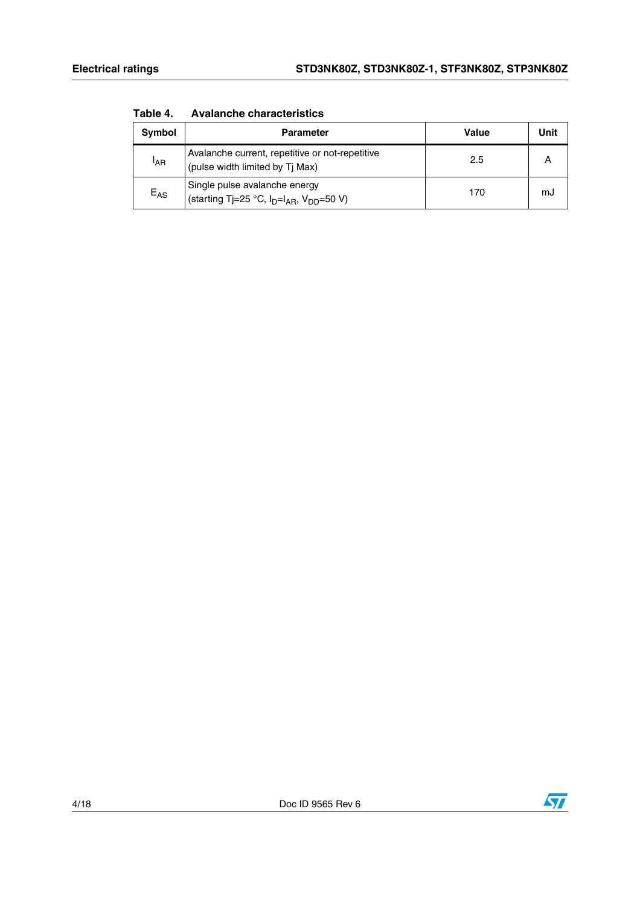| <b>Symbol</b>   | <b>Parameter</b>                                                                   | Value | Unit |
|-----------------|------------------------------------------------------------------------------------|-------|------|
| <sup>I</sup> AR | Avalanche current, repetitive or not-repetitive<br>(pulse width limited by Ti Max) | 2.5   | А    |
| $E_{AS}$        | Single pulse avalanche energy<br>(starting Tj=25 °C, $I_D=I_{AB}$ , $V_{DD}=50$ V) | 170   | mJ   |

**Table 4. Avalanche characteristics**

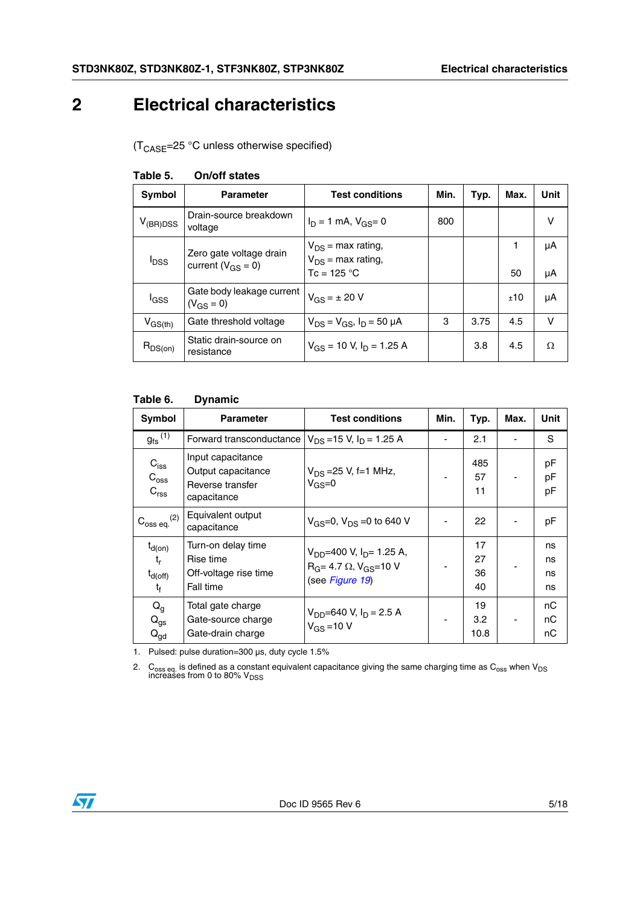## <span id="page-4-0"></span>**2 Electrical characteristics**

(T<sub>CASE</sub>=25 °C unless otherwise specified)

| Symbol                  | <b>Parameter</b>                                    | <b>Test conditions</b>                                                    | Min. | Typ. | Max.    | Unit     |
|-------------------------|-----------------------------------------------------|---------------------------------------------------------------------------|------|------|---------|----------|
| $V_{(BR)DSS}$           | Drain-source breakdown<br>voltage                   | $I_D = 1$ mA, $V_{GS} = 0$                                                | 800  |      |         | v        |
| <b>I</b> <sub>DSS</sub> | Zero gate voltage drain<br>current ( $V_{GS} = 0$ ) | $V_{DS}$ = max rating,<br>$V_{DS}$ = max rating,<br>Tc = 125 $^{\circ}$ C |      |      | 1<br>50 | μA<br>μA |
| l <sub>GSS</sub>        | Gate body leakage current<br>$(V_{GS} = 0)$         | $V_{GS} = \pm 20 V$                                                       |      |      | ±10     | μA       |
| $V_{GS(th)}$            | Gate threshold voltage                              | $V_{DS} = V_{GS}$ , $I_D = 50 \mu A$                                      | 3    | 3.75 | 4.5     | $\vee$   |
| $R_{DS(on)}$            | Static drain-source on<br>resistance                | $V_{GS}$ = 10 V, $I_D$ = 1.25 A                                           |      | 3.8  | 4.5     | Ω        |

#### **Table 5. On/off states**

#### **Table 6. Dynamic**

| Symbol                                                   | <b>Parameter</b>                                                           | <b>Test conditions</b>                                                                               | Min. | Typ.                 | Max. | Unit                 |
|----------------------------------------------------------|----------------------------------------------------------------------------|------------------------------------------------------------------------------------------------------|------|----------------------|------|----------------------|
| $g_{\text{fs}}^{(1)}$                                    | Forward transconductance                                                   | $V_{DS}$ = 15 V, $I_D$ = 1.25 A                                                                      |      | 2.1                  |      | S                    |
| $C_{\text{iss}}$<br>$C_{\text{oss}}$<br>C <sub>rss</sub> | Input capacitance<br>Output capacitance<br>Reverse transfer<br>capacitance | $V_{DS} = 25 V$ , f=1 MHz,<br>$V_{GS}=0$                                                             |      | 485<br>57<br>11      |      | pF<br>pF<br>pF       |
| $C_{\rm oss\ eq.}^{(2)}$                                 | Equivalent output<br>capacitance                                           | $V_{GS} = 0$ , $V_{DS} = 0$ to 640 V                                                                 |      | 22                   |      | pF                   |
| $t_{d(on)}$<br>$t_{r}$<br>$t_{d(off)}$<br>t <sub>f</sub> | Turn-on delay time<br>Rise time<br>Off-voltage rise time<br>Fall time      | $V_{DD}$ =400 V, I <sub>D</sub> = 1.25 A,<br>$R_G = 4.7 \Omega$ , $V_{GS} = 10 V$<br>(see Figure 19) |      | 17<br>27<br>36<br>40 |      | ns<br>ns<br>ns<br>ns |
| $Q_g$<br>$Q_{gs}$<br>${\mathsf Q}_{\mathsf{gd}}$         | Total gate charge<br>Gate-source charge<br>Gate-drain charge               | $V_{DD} = 640$ V, $I_D = 2.5$ A<br>$V_{GS} = 10 V$                                                   | ٠    | 19<br>3.2<br>10.8    |      | nC<br>nС<br>nС       |

1. Pulsed: pulse duration=300 µs, duty cycle 1.5%

2. C<sub>oss eq.</sub> is defined as a constant equivalent capacitance giving the same charging time as C<sub>oss</sub> when V<sub>DS</sub><br>increases from 0 to 80% V<sub>DSS</sub>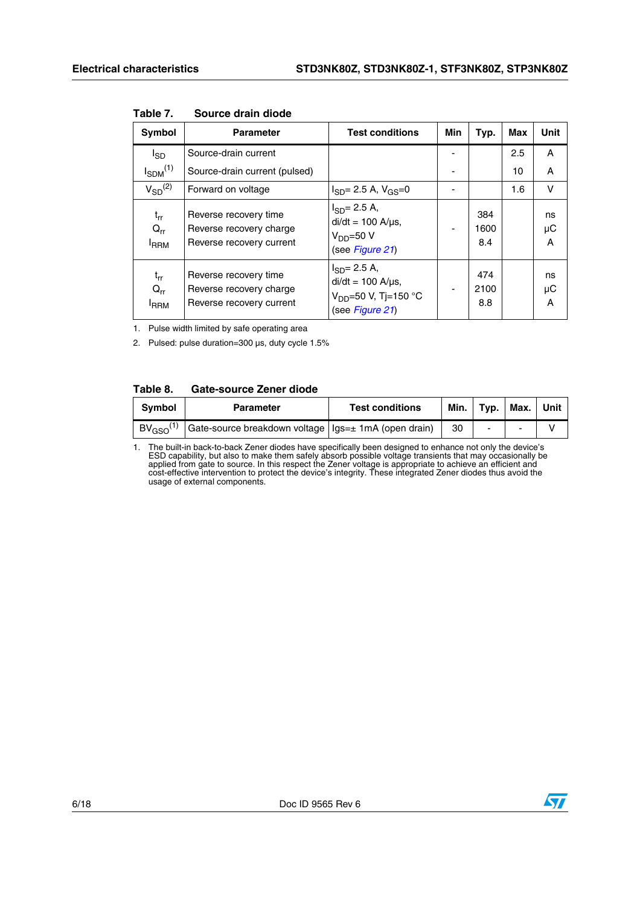| Symbol                               | <b>Parameter</b>                                                             | <b>Test conditions</b>                                                                                 | Min | Typ.               | Max | Unit          |
|--------------------------------------|------------------------------------------------------------------------------|--------------------------------------------------------------------------------------------------------|-----|--------------------|-----|---------------|
| $I_{SD}$                             | Source-drain current                                                         |                                                                                                        |     |                    | 2.5 | A             |
| $I_{SDM}$ <sup>(1)</sup>             | Source-drain current (pulsed)                                                |                                                                                                        |     |                    | 10  | A             |
| $V_{SD}^{(2)}$                       | Forward on voltage                                                           | $I_{SD} = 2.5$ A, $V_{GS} = 0$                                                                         |     |                    | 1.6 | v             |
| $t_{rr}$<br>$Q_{rr}$<br><b>I</b> RRM | Reverse recovery time<br>Reverse recovery charge<br>Reverse recovery current | $I_{SD} = 2.5 A$ ,<br>$di/dt = 100$ A/ $\mu$ s,<br>$VDD=50 V$<br>(see Figure 21)                       |     | 384<br>1600<br>8.4 |     | ns<br>μC<br>A |
| $t_{rr}$<br>$Q_{rr}$<br><b>I</b> RRM | Reverse recovery time<br>Reverse recovery charge<br>Reverse recovery current | $I_{SD} = 2.5 A$ ,<br>$di/dt = 100$ A/ $\mu$ s,<br>V <sub>DD</sub> =50 V, Tj=150 °C<br>(see Figure 21) |     | 474<br>2100<br>8.8 |     | ns<br>μC<br>A |

**Table 7. Source drain diode**

1. Pulse width limited by safe operating area

2. Pulsed: pulse duration=300 µs, duty cycle 1.5%

#### **Table 8. Gate-source Zener diode**

| <b>Symbol</b>           | <b>Parameter</b>                                       | <b>Test conditions</b> | Min. I | Typ. | Max. | Unit |
|-------------------------|--------------------------------------------------------|------------------------|--------|------|------|------|
| $BV_{\text{GSO}}^{(1)}$ | Gate-source breakdown voltage   Igs=± 1mA (open drain) |                        | 30     |      |      |      |

1. The built-in back-to-back Zener diodes have specifically been designed to enhance not only the device's ESD capability, but also to make them safely absorb possible voltage transients that may occasionally be applied from gate to source. In this respect the Zener voltage is appropriate to achieve an efficient and<br>cost-effective intervention to protect the device's integrity. These integrated Zener diodes thus avoid the<br>usage of

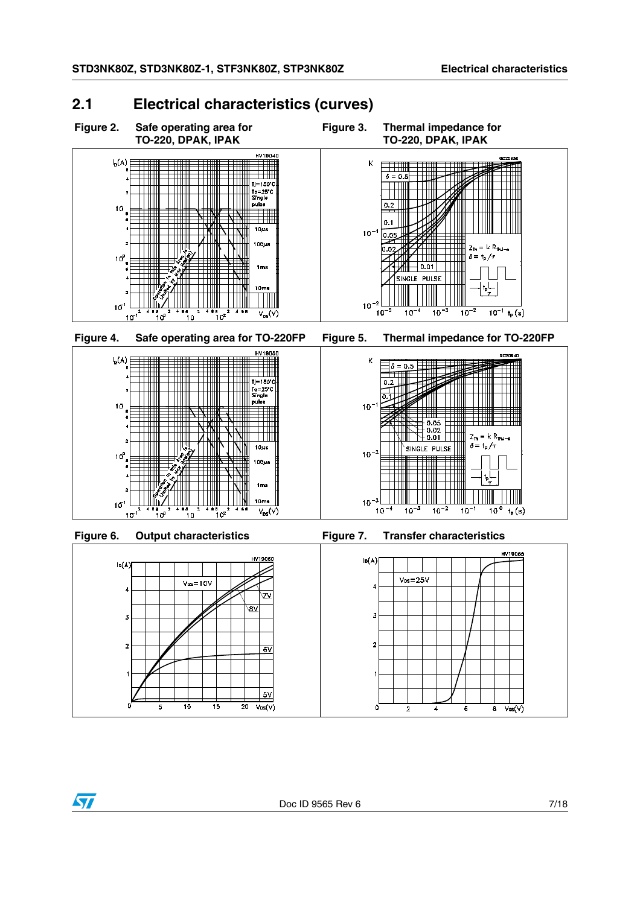$Z_{\text{th}} = k R_{\text{thJ-c}}$ 

 $= kR$ 

 $\frac{1}{10}$ <sup>o</sup>

 $t_{p}(s)$ 

 $\delta = t_p/\tau$ 

 $\overline{10^{-1} + p(s)}$ 

 $\delta = t_p / \tau$ 

 $\frac{1}{10^{-2}}$ 

### <span id="page-6-0"></span>**2.1 Electrical characteristics (curves)**

**Figure 2. Safe operating area for TO-220, DPAK, IPAK**













 $10^{-3}$ 

**Figure 3. Thermal impedance for** 

 $\overline{\phantom{0}}$  $\delta = 0.5$ 

 $\bar{\mathbf{K}}$ 

 $10$ o o

 $10^{-2}$ 

 $\mathsf K$ 

 $10<sup>-</sup>$ 

 $10^{-2}$ 

 $10^{-3}$ 

 $10<sup>1</sup>$ 

 $10<sup>°</sup>$ 

n ni

**TO-220, DPAK, IPAK**

┯

 $|0.01\rangle$ SINGLE PULSE

 $\frac{1}{10^{-3}}$ 

 $\frac{1}{10^{-4}}$ 

 $\delta = 0.5$ 

 $\overline{0.2}$ 

 $10^{-2}$ 

 $10^{-1}$ 

 $0.02$  $0.01$ 

SINGLE PULSE



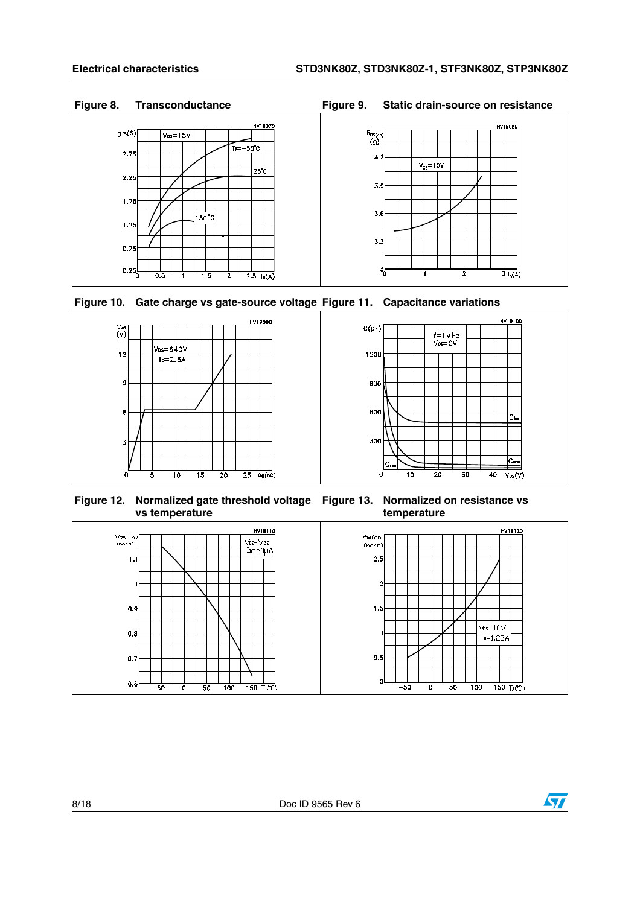### **Figure 8. Transconductance Figure 9. Static drain-source on resistance**









**Figure 12. Normalized gate threshold voltage Figure 13. Normalized on resistance vs vs temperature**

**temperature**



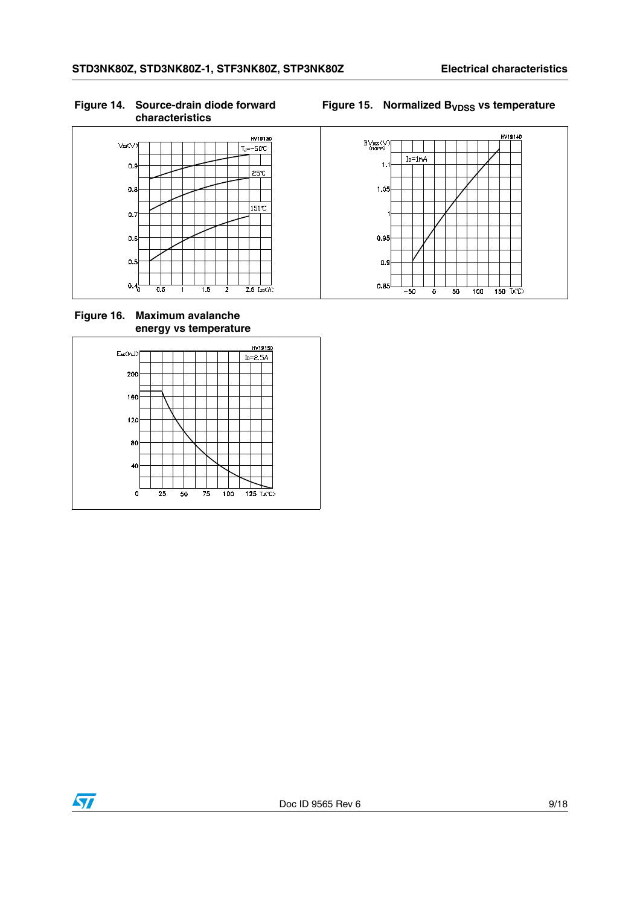### **Figure 14. Source-drain diode forward characteristics**

### Figure 15. Normalized B<sub>VDSS</sub> vs temperature



**Figure 16. Maximum avalanche energy vs temperature**





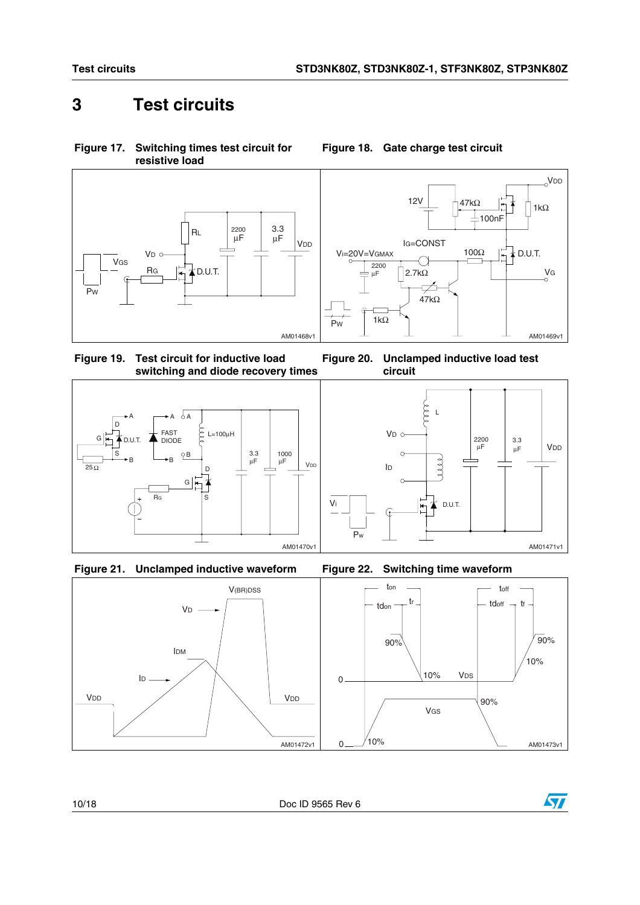**Figure 18. Gate charge test circuit**

## <span id="page-9-0"></span>**3 Test circuits**

**Figure 17. Switching times test circuit for resistive load**





**Figure 19. Test circuit for inductive load switching and diode recovery times Figure 20. Unclamped inductive load test** 







Vi







AM01471v1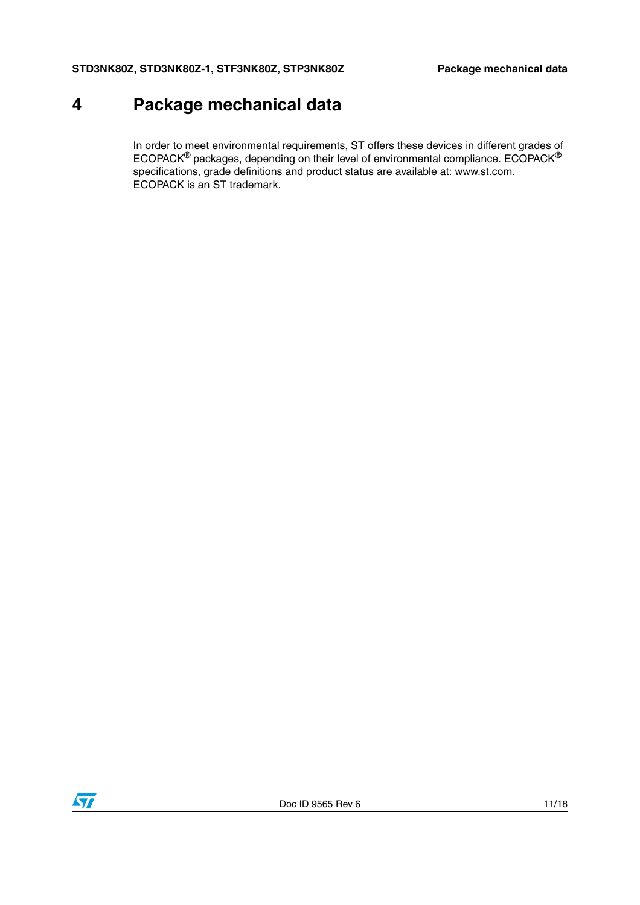## <span id="page-10-0"></span>**4 Package mechanical data**

In order to meet environmental requirements, ST offers these devices in different grades of ECOPACK® packages, depending on their level of environmental compliance. ECOPACK® specifications, grade definitions and product status are available at: www.st.com. ECOPACK is an ST trademark.

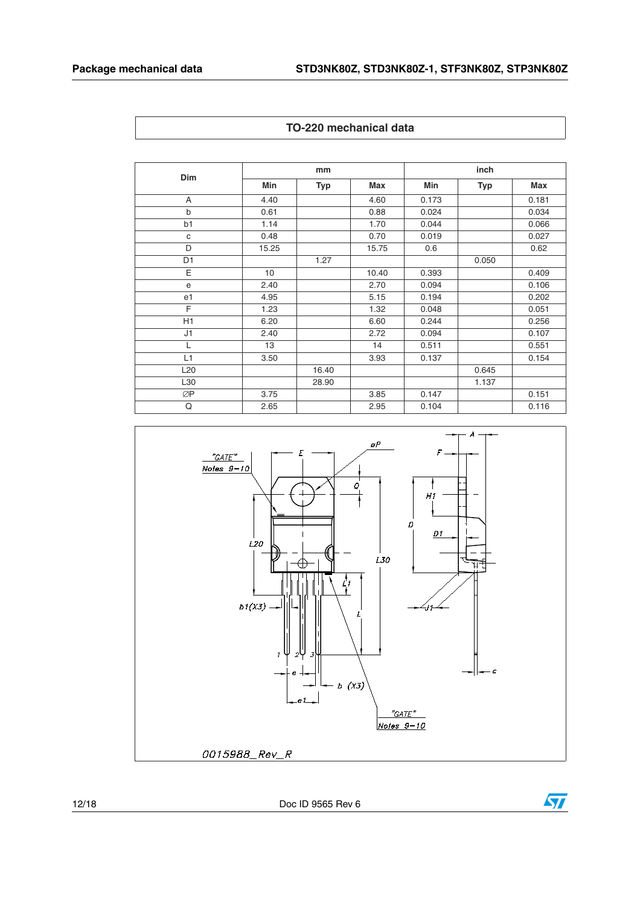| Dim            |       | mm    |            |       | inch  |       |  |
|----------------|-------|-------|------------|-------|-------|-------|--|
|                | Min   | Typ   | <b>Max</b> | Min   | Typ   | Max   |  |
| A              | 4.40  |       | 4.60       | 0.173 |       | 0.181 |  |
| $\mathsf b$    | 0.61  |       | 0.88       | 0.024 |       | 0.034 |  |
| b1             | 1.14  |       | 1.70       | 0.044 |       | 0.066 |  |
| C              | 0.48  |       | 0.70       | 0.019 |       | 0.027 |  |
| D              | 15.25 |       | 15.75      | 0.6   |       | 0.62  |  |
| D <sub>1</sub> |       | 1.27  |            |       | 0.050 |       |  |
| E              | 10    |       | 10.40      | 0.393 |       | 0.409 |  |
| e              | 2.40  |       | 2.70       | 0.094 |       | 0.106 |  |
| e1             | 4.95  |       | 5.15       | 0.194 |       | 0.202 |  |
| F              | 1.23  |       | 1.32       | 0.048 |       | 0.051 |  |
| H1             | 6.20  |       | 6.60       | 0.244 |       | 0.256 |  |
| J1             | 2.40  |       | 2.72       | 0.094 |       | 0.107 |  |
| L              | 13    |       | 14         | 0.511 |       | 0.551 |  |
| L1             | 3.50  |       | 3.93       | 0.137 |       | 0.154 |  |
| L20            |       | 16.40 |            |       | 0.645 |       |  |
| L30            |       | 28.90 |            |       | 1.137 |       |  |
| ∅P             | 3.75  |       | 3.85       | 0.147 |       | 0.151 |  |
| $\cap$         | 265   |       | 205        | 0.104 |       | 0.116 |  |





12/18 Doc ID 9565 Rev 6

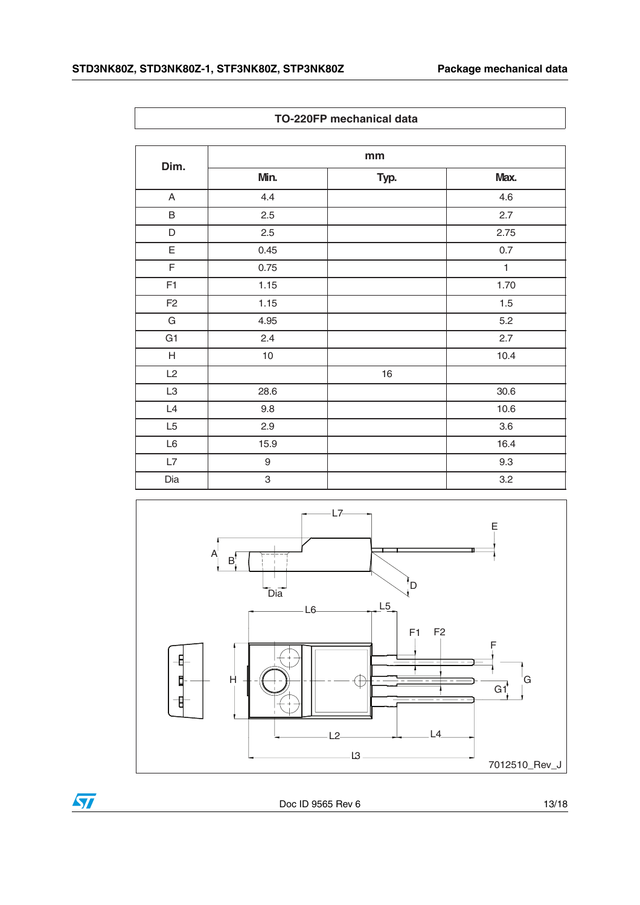$\overline{\phantom{a}}$ 

|  | TO-220FP mechanical data |  |
|--|--------------------------|--|
|--|--------------------------|--|

| Dim.           | mm               |      |              |  |
|----------------|------------------|------|--------------|--|
|                | Min.             | Typ. | Max.         |  |
| A              | 4.4              |      | 4.6          |  |
| B              | 2.5              |      | 2.7          |  |
| $\mathsf D$    | 2.5              |      | 2.75         |  |
| E              | 0.45             |      | $0.7\,$      |  |
| F              | 0.75             |      | $\mathbf{1}$ |  |
| F1             | 1.15             |      | 1.70         |  |
| F <sub>2</sub> | 1.15             |      | 1.5          |  |
| G              | 4.95             |      | 5.2          |  |
| G <sub>1</sub> | 2.4              |      | 2.7          |  |
| $\mathsf H$    | 10               |      | 10.4         |  |
| L2             |                  | 16   |              |  |
| L <sub>3</sub> | 28.6             |      | 30.6         |  |
| $\mathsf{L}4$  | 9.8              |      | 10.6         |  |
| L5             | 2.9              |      | $3.6\,$      |  |
| $\mathsf{L}6$  | 15.9             |      | 16.4         |  |
| $\mathsf{L}7$  | $\boldsymbol{9}$ |      | 9.3          |  |
| Dia            | 3                |      | 3.2          |  |





Doc ID 9565 Rev 6 13/18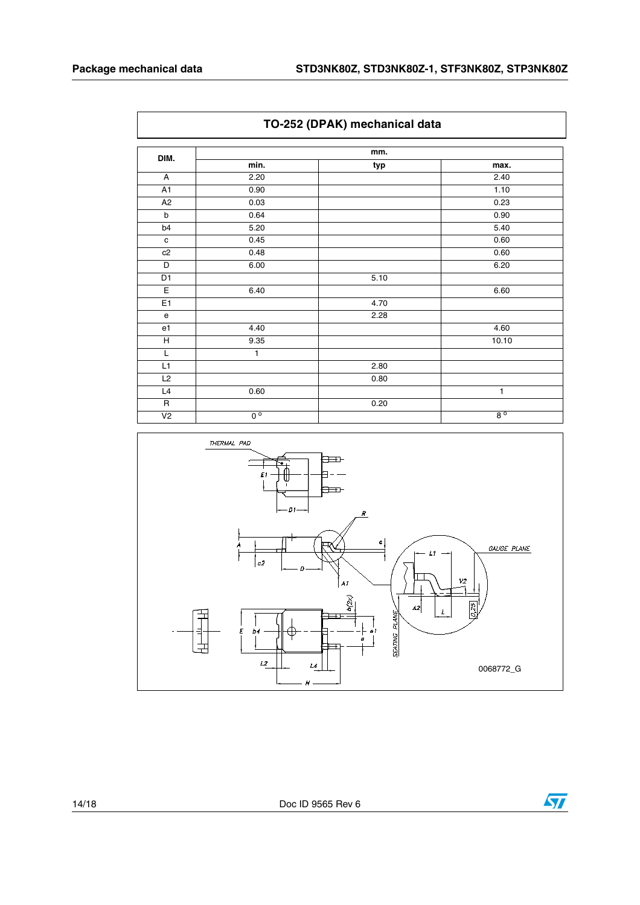| TO-252 (DPAN) Inechanical data |                             |      |             |
|--------------------------------|-----------------------------|------|-------------|
| DIM.                           | mm.                         |      |             |
|                                | min.                        | typ  | max.        |
| A                              | 2.20                        |      | 2.40        |
| A1                             | 0.90                        |      | 1.10        |
| A2                             | 0.03                        |      | 0.23        |
| b                              | 0.64                        |      | 0.90        |
| b4                             | 5.20                        |      | 5.40        |
| $\mathbf c$                    | 0.45                        |      | 0.60        |
| c2                             | 0.48                        |      | 0.60        |
| D                              | 6.00                        |      | 6.20        |
| D1                             |                             | 5.10 |             |
| $\overline{E}$                 | 6.40                        |      | 6.60        |
| E1                             |                             | 4.70 |             |
| e                              |                             | 2.28 |             |
| e1                             | 4.40                        |      | 4.60        |
| H                              | 9.35                        |      | 10.10       |
| L                              | 1                           |      |             |
| L1                             |                             | 2.80 |             |
| L2                             |                             | 0.80 |             |
| L4                             | 0.60                        |      | 1           |
| $\mathsf R$                    |                             | 0.20 |             |
| V <sub>2</sub>                 | $\overline{0}$ <sup>o</sup> |      | $8^{\circ}$ |





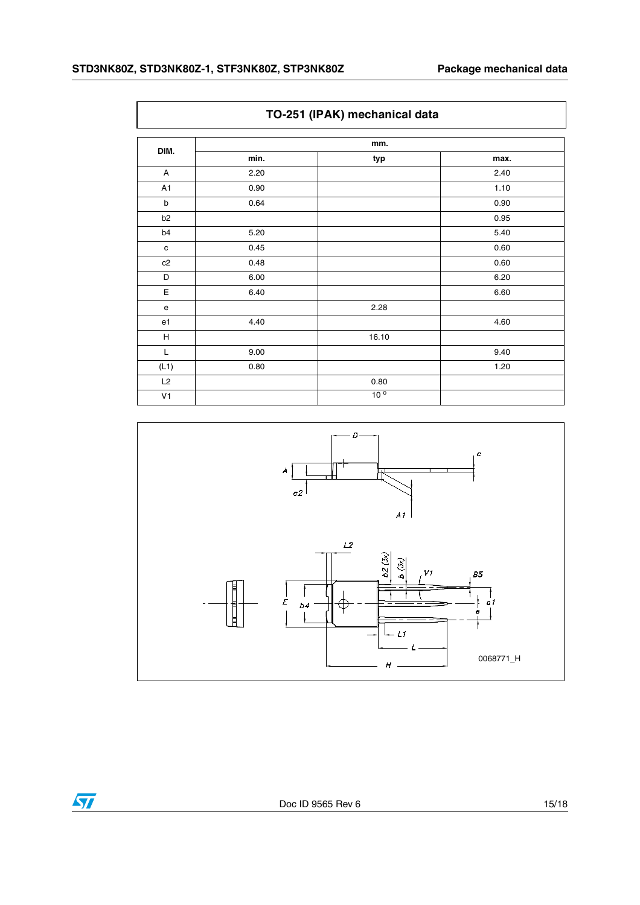|                | TO-251 (IPAK) mechanical data |                 |      |  |
|----------------|-------------------------------|-----------------|------|--|
| DIM.           | mm.                           |                 |      |  |
|                | min.                          | typ             | max. |  |
| $\overline{A}$ | 2.20                          |                 | 2.40 |  |
| A1             | 0.90                          |                 | 1.10 |  |
| $\mathsf b$    | 0.64                          |                 | 0.90 |  |
| b <sub>2</sub> |                               |                 | 0.95 |  |
| b4             | 5.20                          |                 | 5.40 |  |
| $\mathbf c$    | 0.45                          |                 | 0.60 |  |
| c2             | 0.48                          |                 | 0.60 |  |
| D              | 6.00                          |                 | 6.20 |  |
| Ε              | 6.40                          |                 | 6.60 |  |
| e              |                               | 2.28            |      |  |
| e <sub>1</sub> | 4.40                          |                 | 4.60 |  |
| н              |                               | 16.10           |      |  |
| L              | 9.00                          |                 | 9.40 |  |
| (L1)           | 0.80                          |                 | 1.20 |  |
| L2             |                               | 0.80            |      |  |
| V <sub>1</sub> |                               | 10 <sup>o</sup> |      |  |



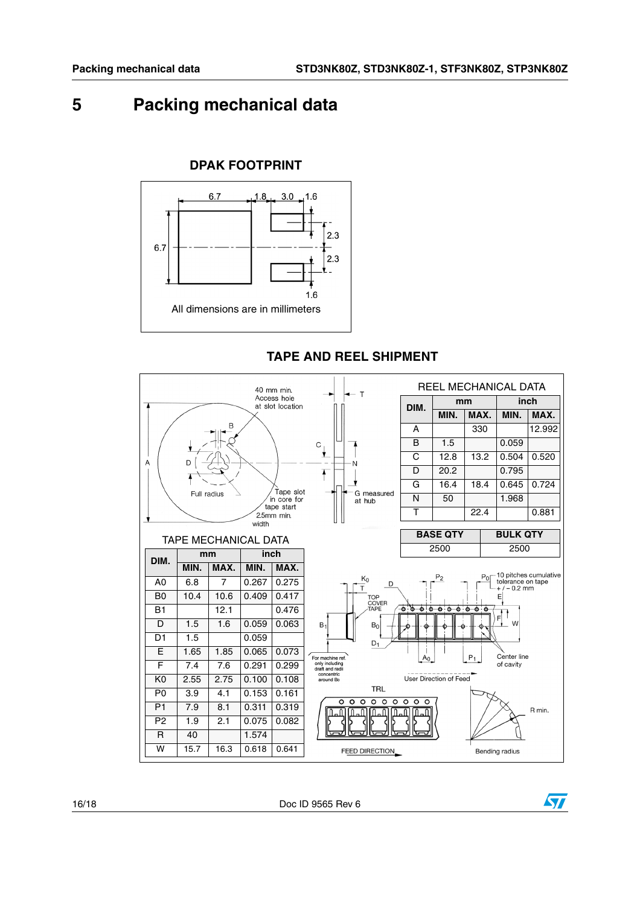## <span id="page-15-0"></span>**5 Packing mechanical data**



### **TAPE AND REEL SHIPMENT**



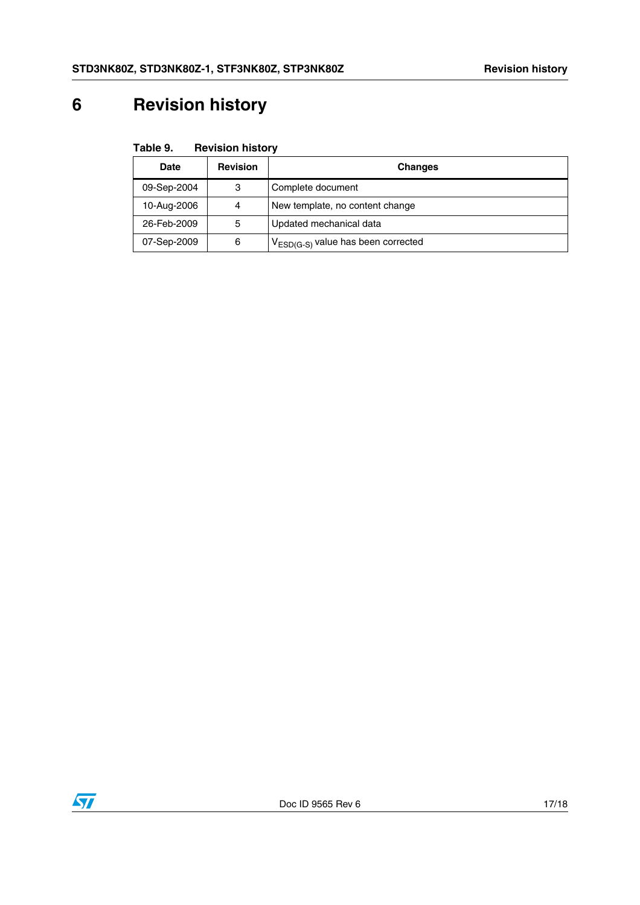# <span id="page-16-0"></span>**6 Revision history**

| Table 9. | <b>Revision history</b> |  |
|----------|-------------------------|--|
|----------|-------------------------|--|

| <b>Date</b> | <b>Revision</b> | <b>Changes</b>                          |
|-------------|-----------------|-----------------------------------------|
| 09-Sep-2004 | 3               | Complete document                       |
| 10-Aug-2006 | 4               | New template, no content change         |
| 26-Feb-2009 | 5               | Updated mechanical data                 |
| 07-Sep-2009 | 6               | $V_{ESD(G-S)}$ value has been corrected |